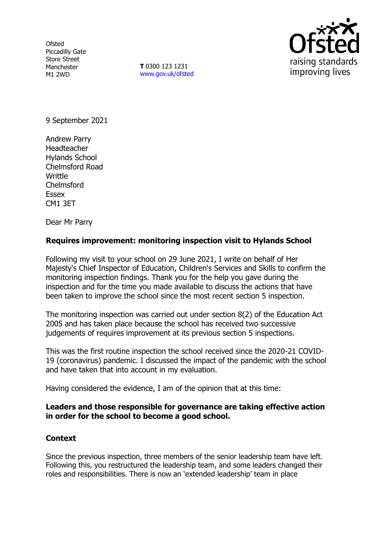**Ofsted** Piccadilly Gate Store Street Manchester M1 2WD

**T** 0300 123 1231 [www.gov.uk/ofsted](http://www.gov.uk/ofsted)



9 September 2021

Andrew Parry Headteacher Hylands School Chelmsford Road Writtle Chelmsford Essex CM1 3ET

Dear Mr Parry

## **Requires improvement: monitoring inspection visit to Hylands School**

Following my visit to your school on 29 June 2021, I write on behalf of Her Majesty's Chief Inspector of Education, Children's Services and Skills to confirm the monitoring inspection findings. Thank you for the help you gave during the inspection and for the time you made available to discuss the actions that have been taken to improve the school since the most recent section 5 inspection.

The monitoring inspection was carried out under section 8(2) of the Education Act 2005 and has taken place because the school has received two successive judgements of requires improvement at its previous section 5 inspections.

This was the first routine inspection the school received since the 2020-21 COVID-19 (coronavirus) pandemic. I discussed the impact of the pandemic with the school and have taken that into account in my evaluation.

Having considered the evidence, I am of the opinion that at this time:

## **Leaders and those responsible for governance are taking effective action in order for the school to become a good school.**

## **Context**

Since the previous inspection, three members of the senior leadership team have left. Following this, you restructured the leadership team, and some leaders changed their roles and responsibilities. There is now an 'extended leadership' team in place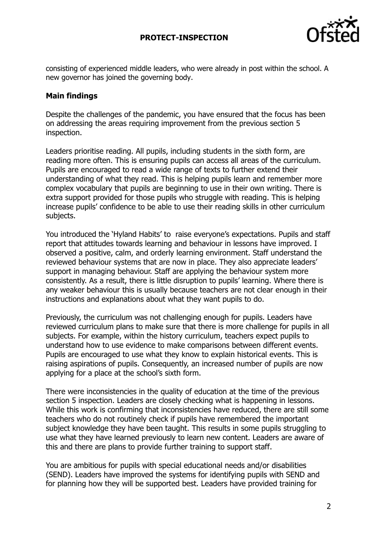

consisting of experienced middle leaders, who were already in post within the school. A new governor has joined the governing body.

## **Main findings**

Despite the challenges of the pandemic, you have ensured that the focus has been on addressing the areas requiring improvement from the previous section 5 inspection.

Leaders prioritise reading. All pupils, including students in the sixth form, are reading more often. This is ensuring pupils can access all areas of the curriculum. Pupils are encouraged to read a wide range of texts to further extend their understanding of what they read. This is helping pupils learn and remember more complex vocabulary that pupils are beginning to use in their own writing. There is extra support provided for those pupils who struggle with reading. This is helping increase pupils' confidence to be able to use their reading skills in other curriculum subjects.

You introduced the 'Hyland Habits' to raise everyone's expectations. Pupils and staff report that attitudes towards learning and behaviour in lessons have improved. I observed a positive, calm, and orderly learning environment. Staff understand the reviewed behaviour systems that are now in place. They also appreciate leaders' support in managing behaviour. Staff are applying the behaviour system more consistently. As a result, there is little disruption to pupils' learning. Where there is any weaker behaviour this is usually because teachers are not clear enough in their instructions and explanations about what they want pupils to do.

Previously, the curriculum was not challenging enough for pupils. Leaders have reviewed curriculum plans to make sure that there is more challenge for pupils in all subjects. For example, within the history curriculum, teachers expect pupils to understand how to use evidence to make comparisons between different events. Pupils are encouraged to use what they know to explain historical events. This is raising aspirations of pupils. Consequently, an increased number of pupils are now applying for a place at the school's sixth form.

There were inconsistencies in the quality of education at the time of the previous section 5 inspection. Leaders are closely checking what is happening in lessons. While this work is confirming that inconsistencies have reduced, there are still some teachers who do not routinely check if pupils have remembered the important subject knowledge they have been taught. This results in some pupils struggling to use what they have learned previously to learn new content. Leaders are aware of this and there are plans to provide further training to support staff.

You are ambitious for pupils with special educational needs and/or disabilities (SEND). Leaders have improved the systems for identifying pupils with SEND and for planning how they will be supported best. Leaders have provided training for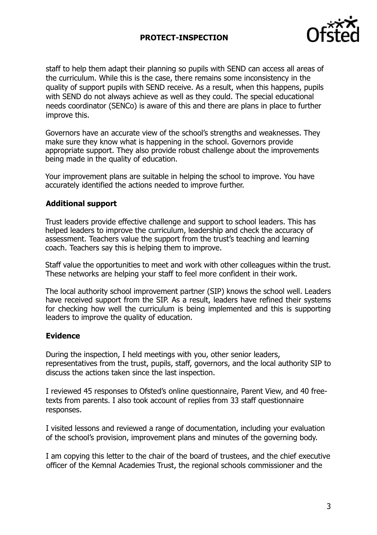## **PROTECT-INSPECTION**



staff to help them adapt their planning so pupils with SEND can access all areas of the curriculum. While this is the case, there remains some inconsistency in the quality of support pupils with SEND receive. As a result, when this happens, pupils with SEND do not always achieve as well as they could. The special educational needs coordinator (SENCo) is aware of this and there are plans in place to further improve this.

Governors have an accurate view of the school's strengths and weaknesses. They make sure they know what is happening in the school. Governors provide appropriate support. They also provide robust challenge about the improvements being made in the quality of education.

Your improvement plans are suitable in helping the school to improve. You have accurately identified the actions needed to improve further.

#### **Additional support**

Trust leaders provide effective challenge and support to school leaders. This has helped leaders to improve the curriculum, leadership and check the accuracy of assessment. Teachers value the support from the trust's teaching and learning coach. Teachers say this is helping them to improve.

Staff value the opportunities to meet and work with other colleagues within the trust. These networks are helping your staff to feel more confident in their work.

The local authority school improvement partner (SIP) knows the school well. Leaders have received support from the SIP. As a result, leaders have refined their systems for checking how well the curriculum is being implemented and this is supporting leaders to improve the quality of education.

#### **Evidence**

During the inspection, I held meetings with you, other senior leaders, representatives from the trust, pupils, staff, governors, and the local authority SIP to discuss the actions taken since the last inspection.

I reviewed 45 responses to Ofsted's online questionnaire, Parent View, and 40 freetexts from parents. I also took account of replies from 33 staff questionnaire responses.

I visited lessons and reviewed a range of documentation, including your evaluation of the school's provision, improvement plans and minutes of the governing body.

I am copying this letter to the chair of the board of trustees, and the chief executive officer of the Kemnal Academies Trust, the regional schools commissioner and the